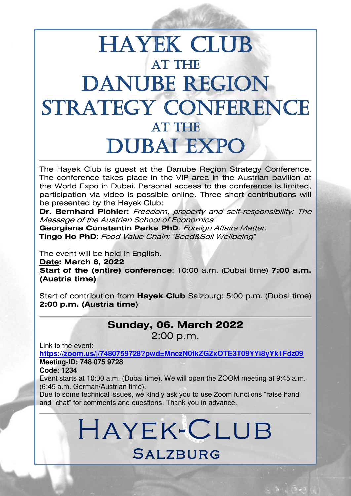## **HAYEK CLUB AT THE** DANUBE REGION STRATEGY CONFERENCE **AT THE** Dubai Expo

The Hayek Club is guest at the Danube Region Strategy Conference. The conference takes place in the VIP area in the Austrian pavilion at the World Expo in Dubai. Personal access to the conference is limited, participation via video is possible online. Three short contributions will be presented by the Hayek Club:

f

**Dr. Bernhard Pichler:** Freedom, property and self-responsibility: The Message of the Austrian School of Economics.

**Georgiana Constantin Parke PhD**: Foreign Affairs Matter. **Tingo Ho PhD**: Food Value Chain: "Seed&Soil Wellbeing"

The event will be held in English.

**Date: March 6, 2022** 

**Start of the (entire) conference**: 10:00 a.m. (Dubai time) **7:00 a.m. (Austria time)** 

Start of contribution from **Hayek Club** Salzburg: 5:00 p.m. (Dubai time) **2:00 p.m. (Austria time)**

#### **Sunday, 06. March 2022**  2:00 p.m.

Link to the event:

**[https://zoom.us/j/7480759728?pwd=MnczN0tkZGZxOTE3T09YYi8yYk1Fdz09](https://deref-gmx.net/mail/client/CcwaaLnS6Us/dereferrer/?redirectUrl=https%3A%2F%2Fzoom.us%2Fj%2F7480759728%3Fpwd%3DMnczN0tkZGZxOTE3T09YYi8yYk1Fdz09) Meeting-ID: 748 075 9728** 

**Code: 1234** 

Event starts at 10:00 a.m. (Dubai time). We will open the ZOOM meeting at 9:45 a.m. (6:45 a.m. German/Austrian time).

Due to some technical issues, we kindly ask you to use Zoom functions "raise hand" and "chat" for comments and questions. Thank you in advance.

# Hayek-Club **SALZBURG**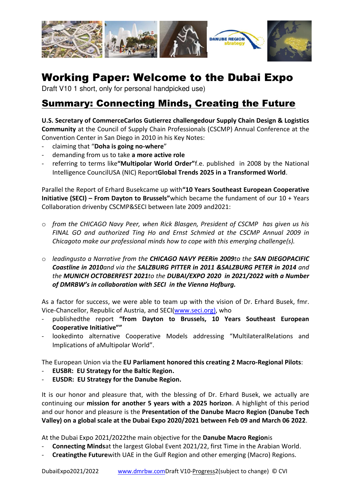

## Working Paper: Welcome to the Dubai Expo

Draft V10 1 short, only for personal handpicked use)

## Summary: Connecting Minds, Creating the Future

**U.S. Secretary of CommerceCarlos Gutierrez challengedour Supply Chain Design & Logistics Community** at the Council of Supply Chain Professionals (CSCMP) Annual Conference at the Convention Center in San Diego in 2010 in his Key Notes:

- claiming that "**Doha is going no-where**"
- demanding from us to take **a more active role**
- referring to terms like**"Multipolar World Order"**f.e. published in 2008 by the National Intelligence CouncilUSA (NIC) Report**Global Trends 2025 in a Transformed World**.

Parallel the Report of Erhard Busekcame up with**"10 Years Southeast European Cooperative Initiative (SECI) – From Dayton to Brussels"**which became the fundament of our 10 + Years Collaboration drivenby CSCMP&SECI between late 2009 and2021:

- o *from the CHICAGO Navy Peer, when Rick Blasgen, President of CSCMP has given us his FINAL GO and authorized Ting Ho and Ernst Schmied at the CSCMP Annual 2009 in Chicagoto make our professional minds how to cope with this emerging challenge(s).*
- o *leadingusto a Narrative from the CHICAGO NAVY PEERin 2009to the SAN DIEGOPACIFIC Coastline in 2010and via the SALZBURG PITTER in 2011 &SALZBURG PETER in 2014 and the MUNICH OCTOBERFEST 2021to the DUBAI/EXPO 2020 in 2021/2022 with a Number of DMRBW's in collaboration with SECI in the Vienna Hofburg.*

As a factor for success, we were able to team up with the vision of Dr. Erhard Busek, fmr. Vice-Chancellor, Republic of Austria, and SECI[\(www.seci.org\)](http://www.seci.org/), who

- publishedthe report **"from Dayton to Brussels, 10 Years Southeast European Cooperative Initiative""**
- lookedinto alternative Cooperative Models addressing "MultilateralRelations and Implications of aMultipolar World".

The European Union via the **EU Parliament honored this creating 2 Macro-Regional Pilots**:

- **EUSBR: EU Strategy for the Baltic Region.**
- **EUSDR: EU Strategy for the Danube Region.**

It is our honor and pleasure that, with the blessing of Dr. Erhard Busek, we actually are continuing our **mission for another 5 years with a 2025 horizon**. A highlight of this period and our honor and pleasure is the **Presentation of the Danube Macro Region (Danube Tech Valley) on a global scale at the Dubai Expo 2020/2021 between Feb 09 and March 06 2022**.

At the Dubai Expo 2021/2022the main objective for the **Danube Macro Region**is

- **Connecting Minds**at the largest Global Event 2021/22, first Time in the Arabian World.
- **Creatingthe Future**with UAE in the Gulf Region and other emerging (Macro) Regions.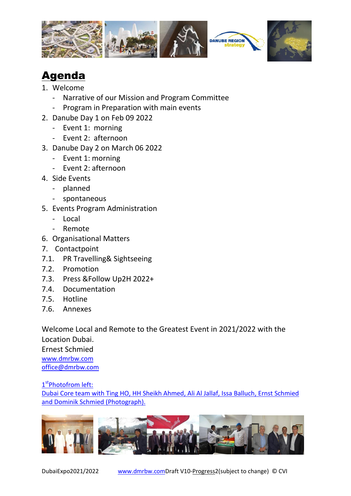



## Agenda

- 1. Welcome
	- Narrative of our Mission and Program Committee
	- Program in Preparation with main events
- 2. Danube Day 1 on Feb 09 2022
	- Event 1: morning
	- Event 2: afternoon
- 3. Danube Day 2 on March 06 2022
	- Event 1: morning
	- Event 2: afternoon
- 4. Side Events
	- planned
	- spontaneous
- 5. Events Program Administration
	- Local
	- Remote
- 6. Organisational Matters
- 7. Contactpoint
- 7.1. PR Travelling& Sightseeing
- 7.2. Promotion
- 7.3. Press &Follow Up2H 2022+
- 7.4. Documentation
- 7.5. Hotline
- 7.6. Annexes

Welcome Local and Remote to the Greatest Event in 2021/2022 with the Location Dubai. Ernest Schmied [www.dmrbw.com](http://www.dmrbw.com/) [office@dmrbw.com](mailto:office@dmrbw.com)

1<sup>st</sup>Photofrom left: Dubai Core team with Ting HO, HH Sheikh Ahmed, Ali Al Jallaf, Issa Balluch, Ernst Schmied and Dominik Schmied (Photograph).

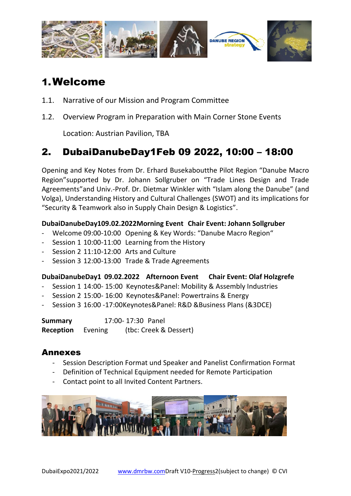

## 1.Welcome

- 1.1. Narrative of our Mission and Program Committee
- 1.2. Overview Program in Preparation with Main Corner Stone Events

Location: Austrian Pavilion, TBA

### 2. DubaiDanubeDay1Feb 09 2022, 10:00 – 18:00

Opening and Key Notes from Dr. Erhard Busekaboutthe Pilot Region "Danube Macro Region"supported by Dr. Johann Sollgruber on "Trade Lines Design and Trade Agreements"and Univ.-Prof. Dr. Dietmar Winkler with "Islam along the Danube" (and Volga), Understanding History and Cultural Challenges (SWOT) and its implications for "Security & Teamwork also in Supply Chain Design & Logistics".

#### **DubaiDanubeDay109.02.2022Morning Event Chair Event: Johann Sollgruber**

- Welcome 09:00-10:00 Opening & Key Words: "Danube Macro Region"
- Session 1 10:00-11:00 Learning from the History
- Session 2 11:10-12:00 Arts and Culture
- Session 3 12:00-13:00 Trade & Trade Agreements

#### **DubaiDanubeDay1 09.02.2022 Afternoon Event Chair Event: Olaf Holzgrefe**

- Session 1 14:00- 15:00 Keynotes&Panel: Mobility & Assembly Industries
- Session 2 15:00- 16:00 Keynotes&Panel: Powertrains & Energy
- Session 3 16:00 -17:00Keynotes&Panel: R&D &Business Plans (&3DCE)

**Summary** 17:00- 17:30 Panel **Reception** Evening (tbc: Creek & Dessert)

#### Annexes

- Session Description Format und Speaker and Panelist Confirmation Format
- Definition of Technical Equipment needed for Remote Participation
- Contact point to all Invited Content Partners.

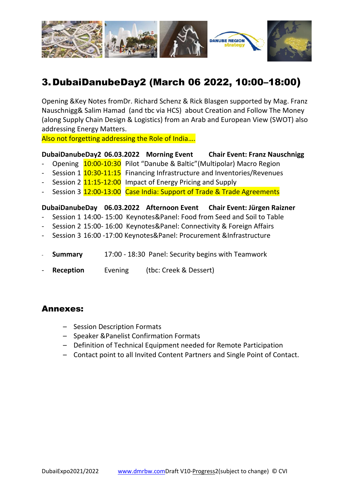

## 3.DubaiDanubeDay2 (March 06 2022, 10:00–18:00)

Opening &Key Notes fromDr. Richard Schenz & Rick Blasgen supported by Mag. Franz Nauschnigg& Salim Hamad (and tbc via HCS) about Creation and Follow The Money (along Supply Chain Design & Logistics) from an Arab and European View (SWOT) also addressing Energy Matters.

Also not forgetting addressing the Role of India….

#### **DubaiDanubeDay2 06.03.2022 Morning Event Chair Event: Franz Nauschnigg**

- Opening  $10:00-10:30$  Pilot "Danube & Baltic"(Multipolar) Macro Region
- Session 1 10:30-11:15 Financing Infrastructure and Inventories/Revenues
- Session 2  $11:15-12:00$  Impact of Energy Pricing and Supply
- Session 3 12:00-13:00 Case India: Support of Trade & Trade Agreements

#### **DubaiDanubeDay 06.03.2022 Afternoon Event Chair Event: Jürgen Raizner**

- Session 1 14:00- 15:00 Keynotes&Panel: Food from Seed and Soil to Table
- Session 2 15:00- 16:00 Keynotes&Panel: Connectivity & Foreign Affairs
- Session 3 16:00 -17:00 Keynotes&Panel: Procurement &Infrastructure
- **Summary** 17:00 18:30 Panel: Security begins with Teamwork
- **Reception** Evening (tbc: Creek & Dessert)

#### Annexes:

- Session Description Formats
- Speaker &Panelist Confirmation Formats
- Definition of Technical Equipment needed for Remote Participation
- Contact point to all Invited Content Partners and Single Point of Contact.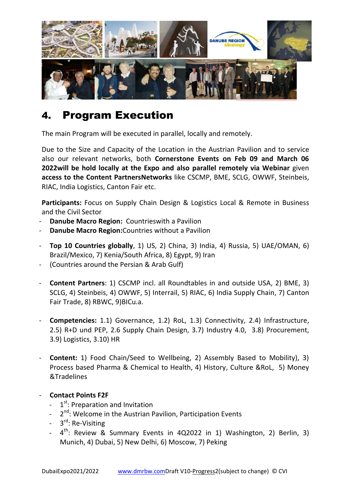

## 4. Program Execution

The main Program will be executed in parallel, locally and remotely.

Due to the Size and Capacity of the Location in the Austrian Pavilion and to service also our relevant networks, both **Cornerstone Events on Feb 09 and March 06 2022will be hold locally at the Expo and also parallel remotely via Webinar** given **access to the Content PartnersNetworks** like CSCMP, BME, SCLG, OWWF, Steinbeis, RIAC, India Logistics, Canton Fair etc.

**Participants:** Focus on Supply Chain Design & Logistics Local & Remote in Business and the Civil Sector

- **Danube Macro Region: Countrieswith a Pavilion**
- **Danube Macro Region:** Countries without a Pavilion
- **Top 10 Countries globally**, 1) US, 2) China, 3) India, 4) Russia, 5) UAE/OMAN, 6) Brazil/Mexico, 7) Kenia/South Africa, 8) Egypt, 9) Iran
- (Countries around the Persian & Arab Gulf)
- **Content Partners**: 1) CSCMP incl. all Roundtables in and outside USA, 2) BME, 3) SCLG, 4) Steinbeis, 4) OWWF, 5) Interrail, 5) RIAC, 6) India Supply Chain, 7) Canton Fair Trade, 8) RBWC, 9)BICu.a.
- **Competencies:** 1.1) Governance, 1.2) RoL, 1.3) Connectivity, 2.4) Infrastructure, 2.5) R+D und PEP, 2.6 Supply Chain Design, 3.7) Industry 4.0, 3.8) Procurement, 3.9) Logistics, 3.10) HR
- **Content:** 1) Food Chain/Seed to Wellbeing, 2) Assembly Based to Mobility), 3) Process based Pharma & Chemical to Health, 4) History, Culture &RoL, 5) Money &Tradelines

#### - **Contact Points F2F**

- 1<sup>st</sup>: Preparation and Invitation
- 2<sup>nd</sup>: Welcome in the Austrian Pavilion, Participation Events
- 3<sup>rd</sup>: Re-Visiting
- $-4$ <sup>th</sup>: Review & Summary Events in 4Q2022 in 1) Washington, 2) Berlin, 3) Munich, 4) Dubai, 5) New Delhi, 6) Moscow, 7) Peking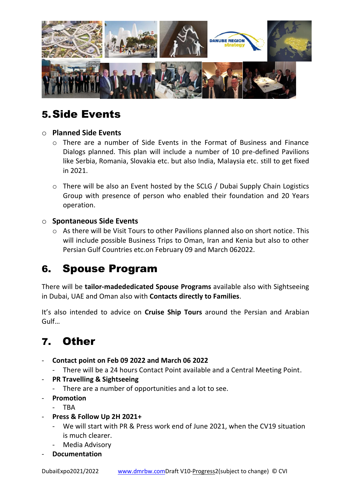

## 5.Side Events

#### o **Planned Side Events**

- o There are a number of Side Events in the Format of Business and Finance Dialogs planned. This plan will include a number of 10 pre-defined Pavilions like Serbia, Romania, Slovakia etc. but also India, Malaysia etc. still to get fixed in 2021.
- o There will be also an Event hosted by the SCLG / Dubai Supply Chain Logistics Group with presence of person who enabled their foundation and 20 Years operation.

#### o **Spontaneous Side Events**

o As there will be Visit Tours to other Pavilions planned also on short notice. This will include possible Business Trips to Oman, Iran and Kenia but also to other Persian Gulf Countries etc.on February 09 and March 062022.

## 6. Spouse Program

There will be **tailor-madededicated Spouse Programs** available also with Sightseeing in Dubai, UAE and Oman also with **Contacts directly to Families**.

It's also intended to advice on **Cruise Ship Tours** around the Persian and Arabian Gulf…

## 7. Other

- **Contact point on Feb 09 2022 and March 06 2022** 
	- There will be a 24 hours Contact Point available and a Central Meeting Point.
- **PR Travelling & Sightseeing** 
	- There are a number of opportunities and a lot to see.
- **Promotion** 
	- TBA
- **Press & Follow Up 2H 2021+** 
	- We will start with PR & Press work end of June 2021, when the CV19 situation is much clearer.
	- Media Advisory
- **Documentation**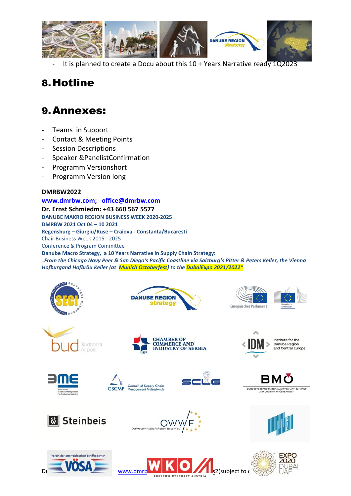

It is planned to create a Docu about this  $10 +$  Years Narrative ready  $1Q2023$ 

## 8.Hotline

## 9.Annexes:

- Teams in Support
- Contact & Meeting Points
- Session Descriptions
- Speaker &PanelistConfirmation
- Programm Versionshort
- Programm Version long

#### **DMRBW2022**

#### **[www.dmrbw.com;](http://www.dmrbw.com/) [office@dmrbw.com](mailto:office@dmrbw.com)**

**Dr. Ernst Schmiedm: +43 660 567 5577 DANUBE MAKRO REGION BUSINESS WEEK 2020-2025 DMRBW 2021 Oct 04 – 10 2021 Regensburg – Giurgiu/Ruse – Craiova - Constanta/Bucaresti**  Chair Business Week 2015 - 2025 Conference & Program Committee **Danube Macro Strategy, a 10 Years Narrative in Supply Chain Strategy:**  *"From the Chicago Navy Peer & San Diego's Pacific Coastline via Salzburg's Pitter & Peters Keller, the Vienna Hofburgand Hofbräu Keller (at Munich Octoberfest) to the DubaiExpo 2021/2022"*















Institute for the Danube Region<br>and Central Europe